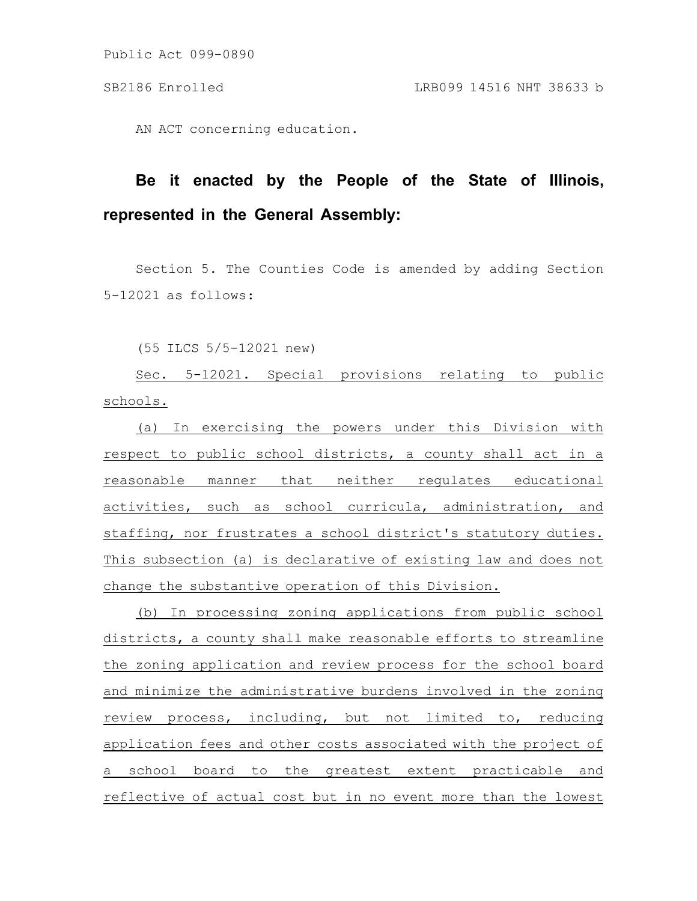Public Act 099-0890

AN ACT concerning education.

## **Be it enacted by the People of the State of Illinois, represented in the General Assembly:**

Section 5. The Counties Code is amended by adding Section 5-12021 as follows:

(55 ILCS 5/5-12021 new)

Sec. 5-12021. Special provisions relating to public schools.

(a) In exercising the powers under this Division with respect to public school districts, a county shall act in a reasonable manner that neither regulates educational activities, such as school curricula, administration, and staffing, nor frustrates a school district's statutory duties. This subsection (a) is declarative of existing law and does not change the substantive operation of this Division.

(b) In processing zoning applications from public school districts, a county shall make reasonable efforts to streamline the zoning application and review process for the school board and minimize the administrative burdens involved in the zoning review process, including, but not limited to, reducing application fees and other costs associated with the project of a school board to the greatest extent practicable and reflective of actual cost but in no event more than the lowest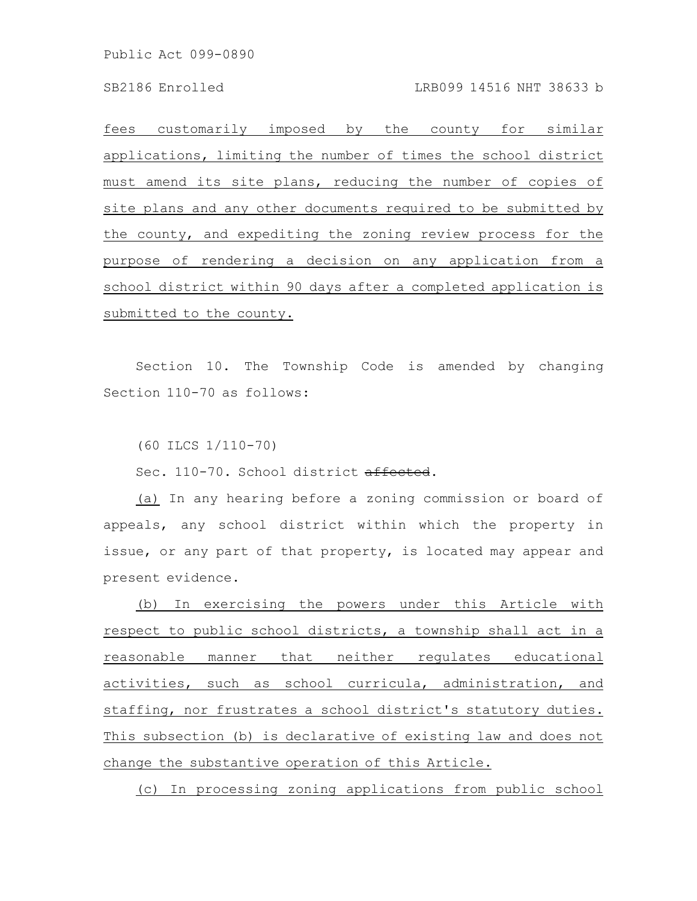Public Act 099-0890

fees customarily imposed by the county for similar applications, limiting the number of times the school district must amend its site plans, reducing the number of copies of site plans and any other documents required to be submitted by the county, and expediting the zoning review process for the purpose of rendering a decision on any application from a school district within 90 days after a completed application is submitted to the county.

Section 10. The Township Code is amended by changing Section 110-70 as follows:

(60 ILCS 1/110-70)

Sec. 110-70. School district affected.

(a) In any hearing before a zoning commission or board of appeals, any school district within which the property in issue, or any part of that property, is located may appear and present evidence.

(b) In exercising the powers under this Article with respect to public school districts, a township shall act in a reasonable manner that neither regulates educational activities, such as school curricula, administration, and staffing, nor frustrates a school district's statutory duties. This subsection (b) is declarative of existing law and does not change the substantive operation of this Article.

(c) In processing zoning applications from public school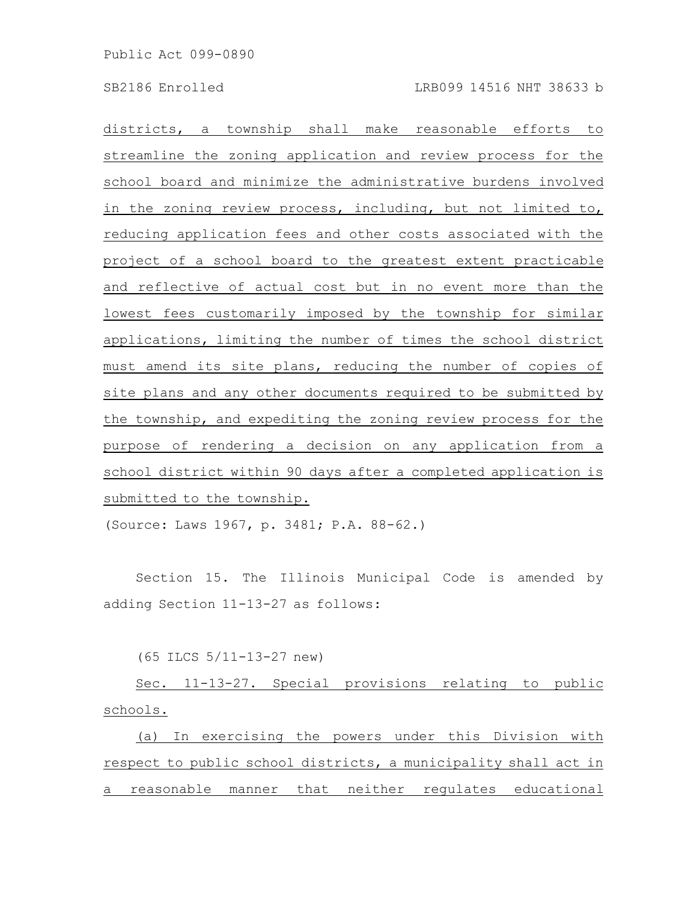districts, a township shall make reasonable efforts to streamline the zoning application and review process for the school board and minimize the administrative burdens involved in the zoning review process, including, but not limited to, reducing application fees and other costs associated with the project of a school board to the greatest extent practicable and reflective of actual cost but in no event more than the lowest fees customarily imposed by the township for similar applications, limiting the number of times the school district must amend its site plans, reducing the number of copies of site plans and any other documents required to be submitted by the township, and expediting the zoning review process for the purpose of rendering a decision on any application from a school district within 90 days after a completed application is submitted to the township.

(Source: Laws 1967, p. 3481; P.A. 88-62.)

Section 15. The Illinois Municipal Code is amended by adding Section 11-13-27 as follows:

(65 ILCS 5/11-13-27 new)

Sec. 11-13-27. Special provisions relating to public schools.

(a) In exercising the powers under this Division with respect to public school districts, a municipality shall act in a reasonable manner that neither regulates educational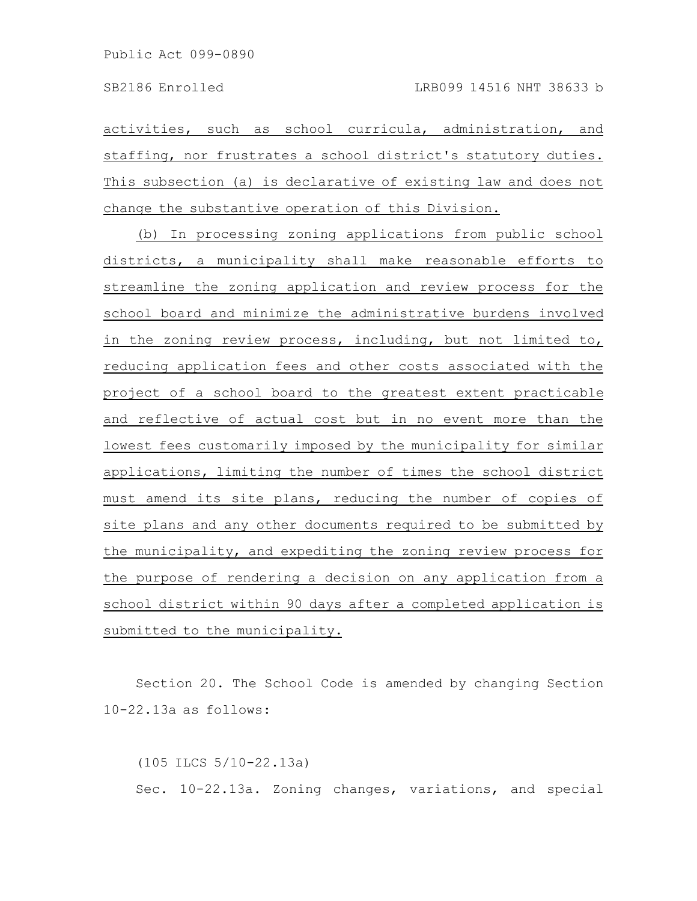activities, such as school curricula, administration, and staffing, nor frustrates a school district's statutory duties. This subsection (a) is declarative of existing law and does not change the substantive operation of this Division.

(b) In processing zoning applications from public school districts, a municipality shall make reasonable efforts to streamline the zoning application and review process for the school board and minimize the administrative burdens involved in the zoning review process, including, but not limited to, reducing application fees and other costs associated with the project of a school board to the greatest extent practicable and reflective of actual cost but in no event more than the lowest fees customarily imposed by the municipality for similar applications, limiting the number of times the school district must amend its site plans, reducing the number of copies of site plans and any other documents required to be submitted by the municipality, and expediting the zoning review process for the purpose of rendering a decision on any application from a school district within 90 days after a completed application is submitted to the municipality.

Section 20. The School Code is amended by changing Section 10-22.13a as follows:

(105 ILCS 5/10-22.13a) Sec. 10-22.13a. Zoning changes, variations, and special